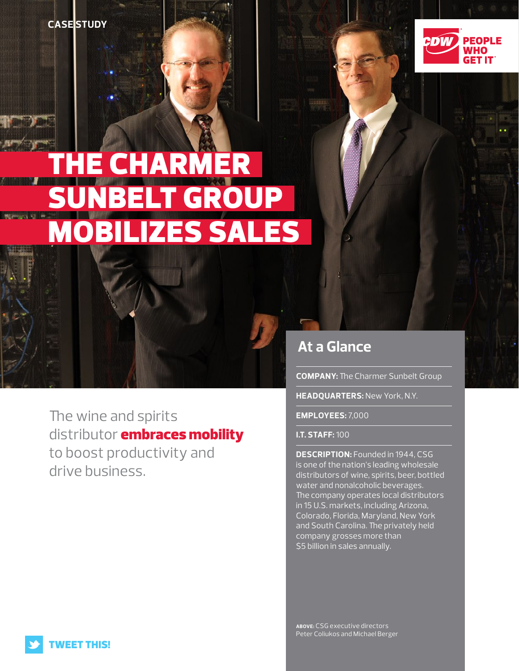**CASESTUDY** 



# **THE CHARMER** JNBELT GROUP MOBILIZES SALES

The wine and spirits distributor **embraces mobility** to boost productivity and drive business.

## **At a Glance**

**COMPANY:** The Charmer Sunbelt Group

**HEADQUARTERS:** New York, N.Y.

**EMPLOYEES:** 7,000

**I.T. STAFF:** 100

**DESCRIPTION:** Founded in 1944, CSG is one of the nation's leading wholesale distributors of wine, spirits, beer, bottled water and nonalcoholic beverages. The company operates local distributors in 15 U.S. markets, including Arizona, Colorado, Florida, Maryland, New York and South Carolina. The privately held company grosses more than \$5 billion in sales annually.

**ABOVE:** CSG executive directors Peter Coliukos and Michael Berger

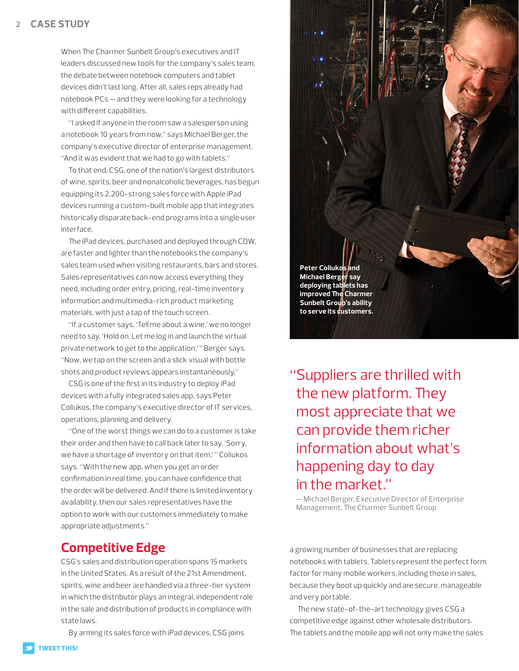#### $\mathcal{L}$ **CASE STUDY**

When The Charmer Sunbelt Group's executives and IT leaders discussed new tools for the company's sales team, the debate between notebook computers and tablet devices didn't last long. After all, sales reps already had notebook PCs — and they were looking for a technology with different capabilities.

"I asked if anyone in the room saw a salesperson using a notebook 10 years from now," says Michael Berger, the company's executive director of enterprise management. "And it was evident that we had to go with tablets."

To that end, CSG, one of the nation's largest distributors of wine, spirits, beer and nonalcoholic beverages, has begun equipping its 2,200-strong sales force with Apple iPad devices running a custom-built mobile app that integrates historically disparate back-end programs into a single user interface.

The iPad devices, purchased and deployed through CDW, are faster and lighter than the notebooks the company's sales team used when visiting restaurants, bars and stores. Sales representatives can now access everything they need, including order entry, pricing, real-time inventory information and multimedia-rich product marketing materials, with just a tap of the touch screen.

"If a customer says, 'Tell me about a wine,' we no longer need to say, 'Hold on. Let me log in and launch the virtual private network to get to the application,' " Berger says. "Now, we tap on the screen and a slick visual with bottle shots and product reviews appears instantaneously."

CSG is one of the first in its industry to deploy iPad devices with a fully integrated sales app, says Peter Coliukos, the company's executive director of IT services, operations, planning and delivery.

"One of the worst things we can do to a customer is take their order and then have to call back later to say, 'Sorry, we have a shortage of inventory on that item,' " Coliukos says. "With the new app, when you get an order confirmation in real time, you can have confidence that the order will be delivered. And if there is limited inventory availability, then our sales representatives have the option to work with our customers immediately to make appropriate adjustments."

### **Competitive Edge**

CSG's sales and distribution operation spans 15 markets in the United States. As a result of the 21st Amendment, spirits, wine and beer are handled via a three-tier system in which the distributor plays an integral, independent role in the sale and distribution of products in compliance with state laws.

By arming its sales force with iPad devices, CSG joins



"Suppliers are thrilled with the new platform. They most appreciate that we can provide them richer information about what's happening day to day in the market."

— Michael Berger, Executive Director of Enterprise Management, The Charmer Sunbelt Group

a growing number of businesses that are replacing notebooks with tablets. Tablets represent the perfect form factor for many mobile workers, including those in sales, because they boot up quickly and are secure, manageable and very portable.

The new state-of-the-art technology gives CSG a competitive edge against other wholesale distributors. The tablets and the mobile app will not only make the sales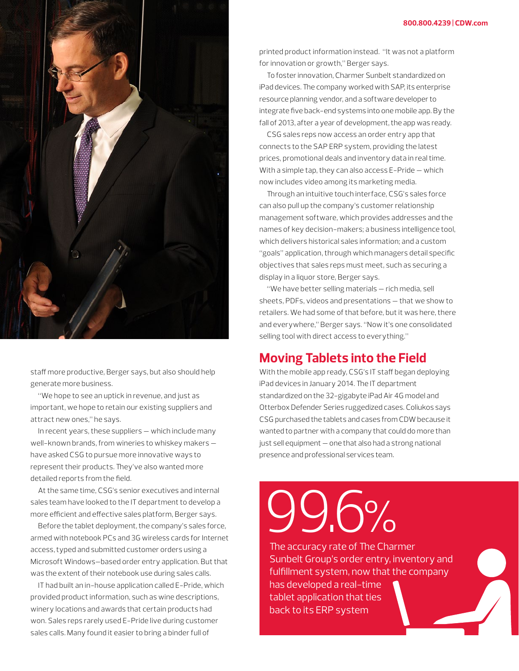

staff more productive, Berger says, but also should help generate more business.

"We hope to see an uptick in revenue, and just as important, we hope to retain our existing suppliers and attract new ones," he says.

In recent years, these suppliers — which include many well-known brands, from wineries to whiskey makers have asked CSG to pursue more innovative ways to represent their products. They've also wanted more detailed reports from the field.

At the same time, CSG's senior executives and internal sales team have looked to the IT department to develop a more efficient and effective sales platform, Berger says.

Before the tablet deployment, the company's sales force, armed with notebook PCs and 3G wireless cards for Internet access, typed and submitted customer orders using a Microsoft Windows–based order entry application. But that was the extent of their notebook use during sales calls.

IT had built an in-house application called E-Pride, which provided product information, such as wine descriptions, winery locations and awards that certain products had won. Sales reps rarely used E-Pride live during customer sales calls. Many found it easier to bring a binder full of

printed product information instead. "It was not a platform for innovation or growth," Berger says.

To foster innovation, Charmer Sunbelt standardized on iPad devices. The company worked with SAP, its enterprise resource planning vendor, and a software developer to integrate five back-end systems into one mobile app. By the fall of 2013, after a year of development, the app was ready.

CSG sales reps now access an order entry app that connects to the SAP ERP system, providing the latest prices, promotional deals and inventory data in real time. With a simple tap, they can also access E-Pride — which now includes video among its marketing media.

Through an intuitive touch interface, CSG's sales force can also pull up the company's customer relationship management software, which provides addresses and the names of key decision-makers; a business intelligence tool, which delivers historical sales information; and a custom "goals" application, through which managers detail specific objectives that sales reps must meet, such as securing a display in a liquor store, Berger says.

"We have better selling materials — rich media, sell sheets, PDFs, videos and presentations — that we show to retailers. We had some of that before, but it was here, there and everywhere," Berger says. "Now it's one consolidated selling tool with direct access to everything."

#### **Moving Tablets into the Field**

With the mobile app ready, CSG's IT staff began deploying iPad devices in January 2014. The IT department standardized on the 32-gigabyte iPad Air 4G model and Otterbox Defender Series ruggedized cases. Coliukos says CSG purchased the tablets and cases from CDW because it wanted to partner with a company that could do more than just sell equipment — one that also had a strong national presence and professional services team.

99.6%

The accuracy rate of The Charmer Sunbelt Group's order entry, inventory and fulfillment system, now that the company has developed a real-time tablet application that ties

back to its ERP system